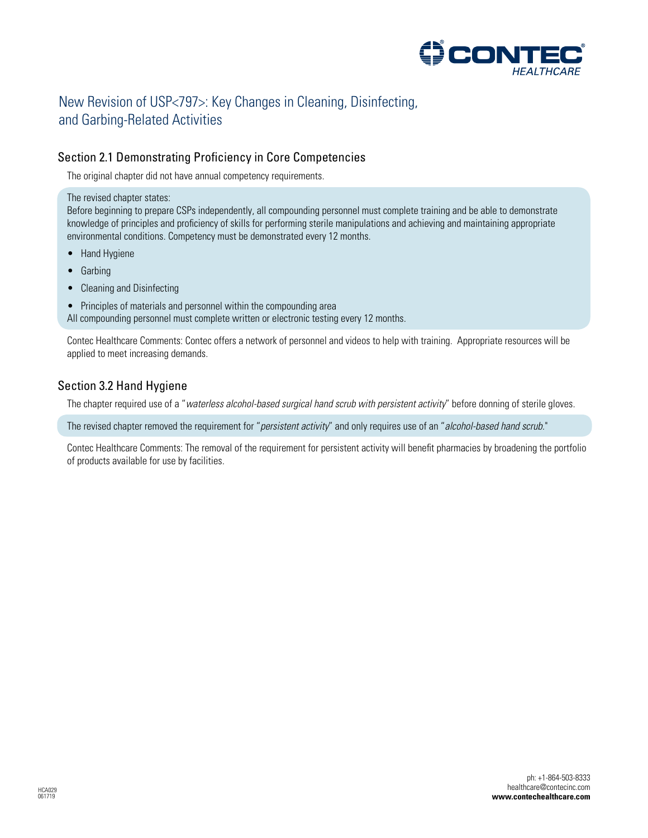

# New Revision of USP<797>: Key Changes in Cleaning, Disinfecting, and Garbing-Related Activities

# Section 2.1 Demonstrating Proficiency in Core Competencies

The original chapter did not have annual competency requirements.

The revised chapter states:

Before beginning to prepare CSPs independently, all compounding personnel must complete training and be able to demonstrate knowledge of principles and proficiency of skills for performing sterile manipulations and achieving and maintaining appropriate environmental conditions. Competency must be demonstrated every 12 months.

- Hand Hygiene
- Garbing
- Cleaning and Disinfecting
- Principles of materials and personnel within the compounding area

All compounding personnel must complete written or electronic testing every 12 months.

Contec Healthcare Comments: Contec offers a network of personnel and videos to help with training. Appropriate resources will be applied to meet increasing demands.

# Section 3.2 Hand Hygiene

The chapter required use of a "*waterless alcohol-based surgical hand scrub with persistent activity*" before donning of sterile gloves.

The revised chapter removed the requirement for "*persistent activity*" and only requires use of an "*alcohol-based hand scrub.*"

Contec Healthcare Comments: The removal of the requirement for persistent activity will benefit pharmacies by broadening the portfolio of products available for use by facilities.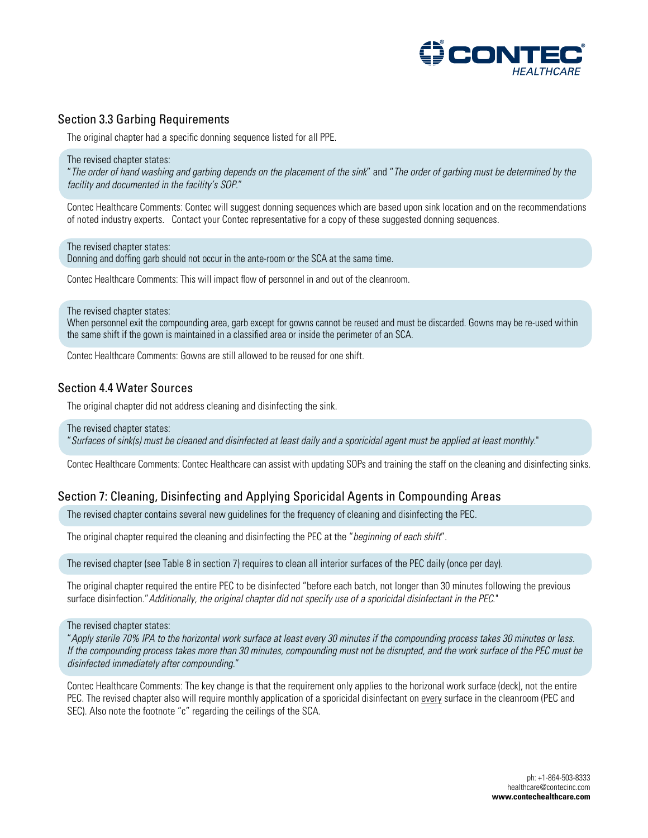

## Section 3.3 Garbing Requirements

The original chapter had a specific donning sequence listed for all PPE.

The revised chapter states:

"*The order of hand washing and garbing depends on the placement of the sink*" and "*The order of garbing must be determined by the facility and documented in the facility's SOP.*"

Contec Healthcare Comments: Contec will suggest donning sequences which are based upon sink location and on the recommendations of noted industry experts. Contact your Contec representative for a copy of these suggested donning sequences.

The revised chapter states: Donning and doffing garb should not occur in the ante-room or the SCA at the same time.

Contec Healthcare Comments: This will impact flow of personnel in and out of the cleanroom.

The revised chapter states:

When personnel exit the compounding area, garb except for gowns cannot be reused and must be discarded. Gowns may be re-used within the same shift if the gown is maintained in a classified area or inside the perimeter of an SCA.

Contec Healthcare Comments: Gowns are still allowed to be reused for one shift.

### Section 4.4 Water Sources

The original chapter did not address cleaning and disinfecting the sink.

The revised chapter states:

"*Surfaces of sink(s) must be cleaned and disinfected at least daily and a sporicidal agent must be applied at least monthly.*"

Contec Healthcare Comments: Contec Healthcare can assist with updating SOPs and training the staff on the cleaning and disinfecting sinks.

# Section 7: Cleaning, Disinfecting and Applying Sporicidal Agents in Compounding Areas

The revised chapter contains several new guidelines for the frequency of cleaning and disinfecting the PEC.

The original chapter required the cleaning and disinfecting the PEC at the "*beginning of each shift*".

The revised chapter (see Table 8 in section 7) requires to clean all interior surfaces of the PEC daily (once per day).

The original chapter required the entire PEC to be disinfected "before each batch, not longer than 30 minutes following the previous surface disinfection."*Additionally, the original chapter did not specify use of a sporicidal disinfectant in the PEC*."

The revised chapter states:

"*Apply sterile 70% IPA to the horizontal work surface at least every 30 minutes if the compounding process takes 30 minutes or less. If the compounding process takes more than 30 minutes, compounding must not be disrupted, and the work surface of the PEC must be disinfected immediately after compounding.*"

Contec Healthcare Comments: The key change is that the requirement only applies to the horizonal work surface (deck), not the entire PEC. The revised chapter also will require monthly application of a sporicidal disinfectant on every surface in the cleanroom (PEC and SEC). Also note the footnote "c" regarding the ceilings of the SCA.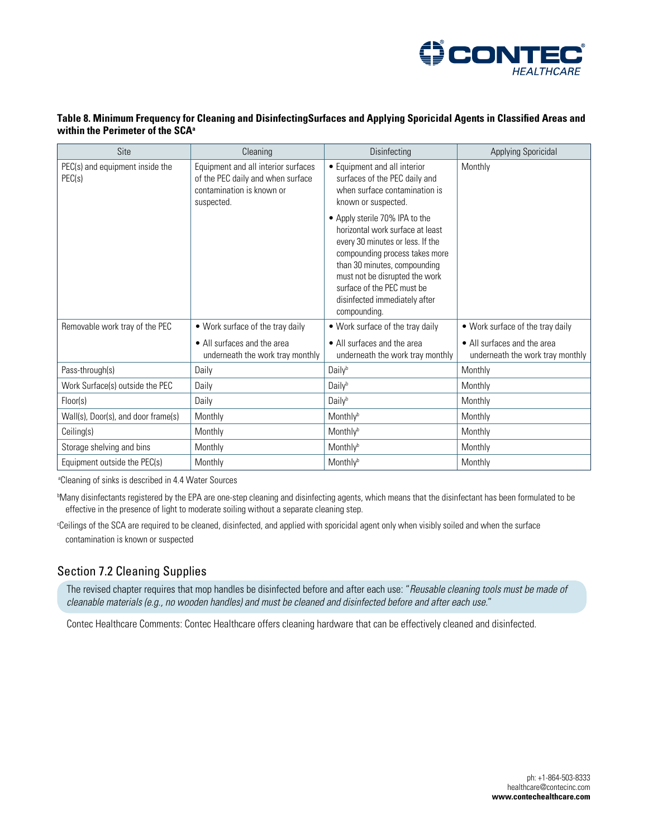

#### **Table 8. Minimum Frequency for Cleaning and DisinfectingSurfaces and Applying Sporicidal Agents in Classified Areas and within the Perimeter of the SCA<sup>a</sup>**

| Site                                      | Cleaning                                                                                                            | Disinfecting                                                                                                                                                                                                                                                                              | <b>Applying Sporicidal</b>                                      |
|-------------------------------------------|---------------------------------------------------------------------------------------------------------------------|-------------------------------------------------------------------------------------------------------------------------------------------------------------------------------------------------------------------------------------------------------------------------------------------|-----------------------------------------------------------------|
| PEC(s) and equipment inside the<br>PEC(s) | Equipment and all interior surfaces<br>of the PEC daily and when surface<br>contamination is known or<br>suspected. | • Equipment and all interior<br>surfaces of the PEC daily and<br>when surface contamination is<br>known or suspected.                                                                                                                                                                     | Monthly                                                         |
|                                           |                                                                                                                     | • Apply sterile 70% IPA to the<br>horizontal work surface at least<br>every 30 minutes or less. If the<br>compounding process takes more<br>than 30 minutes, compounding<br>must not be disrupted the work<br>surface of the PEC must be<br>disinfected immediately after<br>compounding. |                                                                 |
| Removable work tray of the PEC            | • Work surface of the tray daily                                                                                    | • Work surface of the tray daily                                                                                                                                                                                                                                                          | . Work surface of the tray daily                                |
|                                           | • All surfaces and the area<br>underneath the work tray monthly                                                     | • All surfaces and the area<br>underneath the work tray monthly                                                                                                                                                                                                                           | • All surfaces and the area<br>underneath the work tray monthly |
| Pass-through(s)                           | Daily                                                                                                               | Dailyb                                                                                                                                                                                                                                                                                    | Monthly                                                         |
| Work Surface(s) outside the PEC           | Daily                                                                                                               | Dailyb                                                                                                                                                                                                                                                                                    | Monthly                                                         |
| Floor(s)                                  | Daily                                                                                                               | Dailyb                                                                                                                                                                                                                                                                                    | Monthly                                                         |
| Wall(s), Door(s), and door frame(s)       | Monthly                                                                                                             | Monthlyb                                                                                                                                                                                                                                                                                  | Monthly                                                         |
| Ceiling(s)                                | Monthly                                                                                                             | Monthlyb                                                                                                                                                                                                                                                                                  | Monthly                                                         |
| Storage shelving and bins                 | Monthly                                                                                                             | Monthlyb                                                                                                                                                                                                                                                                                  | Monthly                                                         |
| Equipment outside the PEC(s)              | Monthly                                                                                                             | Monthlyb                                                                                                                                                                                                                                                                                  | Monthly                                                         |

a Cleaning of sinks is described in 4.4 Water Sources

b Many disinfectants registered by the EPA are one-step cleaning and disinfecting agents, which means that the disinfectant has been formulated to be effective in the presence of light to moderate soiling without a separate cleaning step.

c Ceilings of the SCA are required to be cleaned, disinfected, and applied with sporicidal agent only when visibly soiled and when the surface contamination is known or suspected

## Section 7.2 Cleaning Supplies

The revised chapter requires that mop handles be disinfected before and after each use: "*Reusable cleaning tools must be made of cleanable materials (e.g., no wooden handles) and must be cleaned and disinfected before and after each use.*"

Contec Healthcare Comments: Contec Healthcare offers cleaning hardware that can be effectively cleaned and disinfected.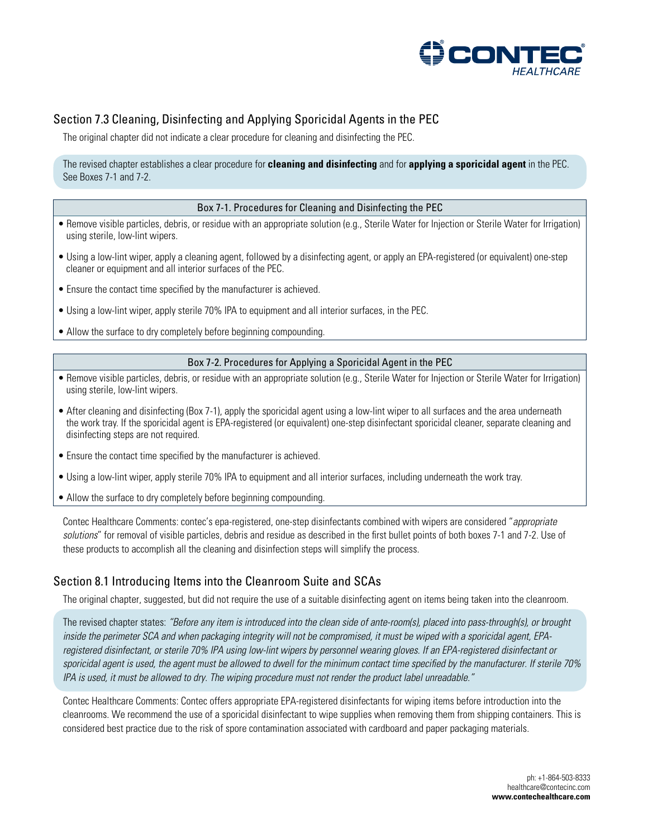

# Section 7.3 Cleaning, Disinfecting and Applying Sporicidal Agents in the PEC

The original chapter did not indicate a clear procedure for cleaning and disinfecting the PEC.

#### The revised chapter establishes a clear procedure for **cleaning and disinfecting** and for **applying a sporicidal agent** in the PEC. See Boxes 7-1 and 7-2.

#### Box 7-1. Procedures for Cleaning and Disinfecting the PEC

- Remove visible particles, debris, or residue with an appropriate solution (e.g., Sterile Water for Injection or Sterile Water for Irrigation) using sterile, low-lint wipers.
- Using a low-lint wiper, apply a cleaning agent, followed by a disinfecting agent, or apply an EPA-registered (or equivalent) one-step cleaner or equipment and all interior surfaces of the PEC.
- Ensure the contact time specified by the manufacturer is achieved.
- Using a low-lint wiper, apply sterile 70% IPA to equipment and all interior surfaces, in the PEC.
- Allow the surface to dry completely before beginning compounding.

#### Box 7-2. Procedures for Applying a Sporicidal Agent in the PEC

- Remove visible particles, debris, or residue with an appropriate solution (e.g., Sterile Water for Injection or Sterile Water for Irrigation) using sterile, low-lint wipers.
- After cleaning and disinfecting (Box 7-1), apply the sporicidal agent using a low-lint wiper to all surfaces and the area underneath the work tray. If the sporicidal agent is EPA-registered (or equivalent) one-step disinfectant sporicidal cleaner, separate cleaning and disinfecting steps are not required.
- Ensure the contact time specified by the manufacturer is achieved.
- Using a low-lint wiper, apply sterile 70% IPA to equipment and all interior surfaces, including underneath the work tray.
- Allow the surface to dry completely before beginning compounding.

Contec Healthcare Comments: contec's epa-registered, one-step disinfectants combined with wipers are considered "*appropriate solutions*" for removal of visible particles, debris and residue as described in the first bullet points of both boxes 7-1 and 7-2. Use of these products to accomplish all the cleaning and disinfection steps will simplify the process.

## Section 8.1 Introducing Items into the Cleanroom Suite and SCAs

The original chapter, suggested, but did not require the use of a suitable disinfecting agent on items being taken into the cleanroom.

The revised chapter states: *"Before any item is introduced into the clean side of ante-room(s), placed into pass-through(s), or brought inside the perimeter SCA and when packaging integrity will not be compromised, it must be wiped with a sporicidal agent, EPAregistered disinfectant, or sterile 70% IPA using low-lint wipers by personnel wearing gloves. If an EPA-registered disinfectant or sporicidal agent is used, the agent must be allowed to dwell for the minimum contact time specified by the manufacturer. If sterile 70% IPA is used, it must be allowed to dry. The wiping procedure must not render the product label unreadable."*

Contec Healthcare Comments: Contec offers appropriate EPA-registered disinfectants for wiping items before introduction into the cleanrooms. We recommend the use of a sporicidal disinfectant to wipe supplies when removing them from shipping containers. This is considered best practice due to the risk of spore contamination associated with cardboard and paper packaging materials.